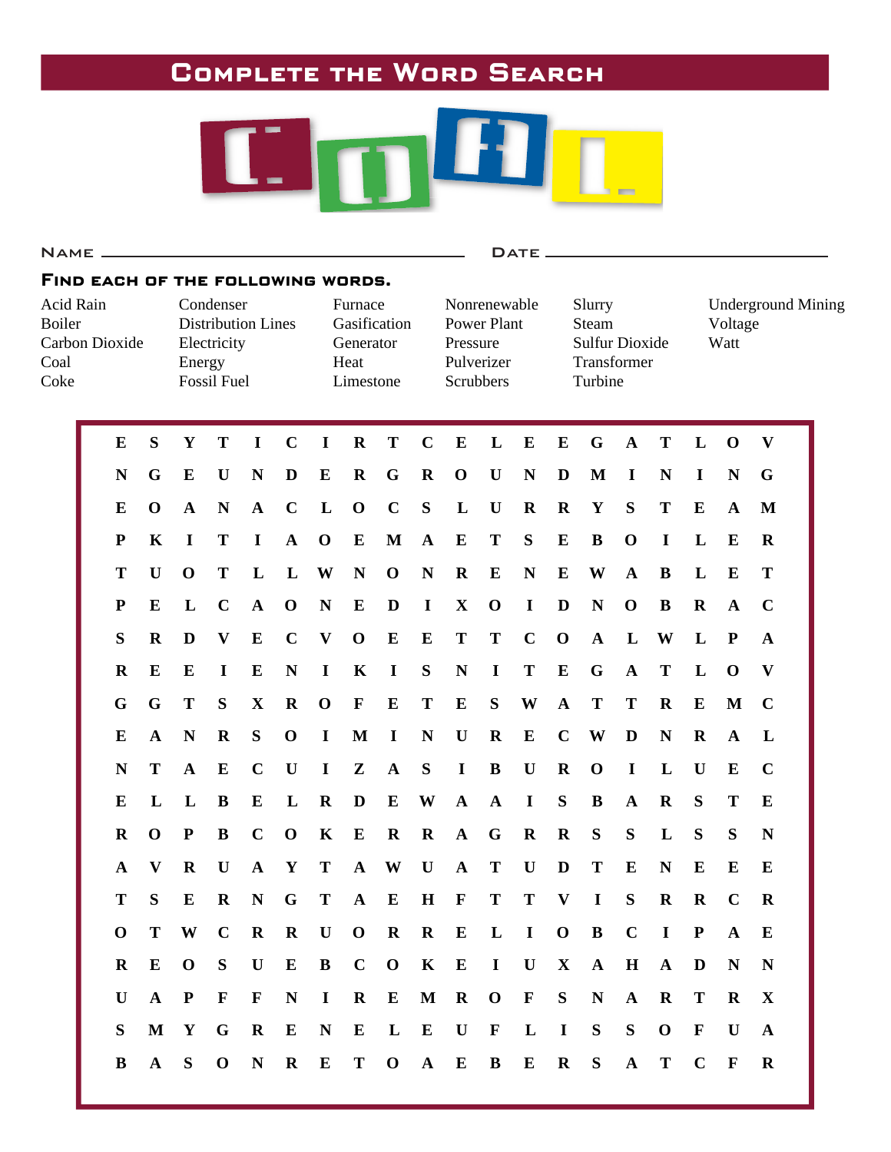# **Complete the Word Search**



Name Date

### **Find each of the following words.**

| Acid Rain<br><b>Boiler</b><br>Carbon Dioxide<br>Coal<br>Coke |                            |                  | Condenser<br><b>Distribution Lines</b><br>Electricity<br>Energy<br><b>Fossil Fuel</b> |              |                            |                            | Furnace<br>Gasification<br>Generator<br>Heat<br>Limestone |                         |                  |                            | Nonrenewable<br>Power Plant<br>Pressure<br>Pulverizer<br>Scrubbers |             |                            |                  | Slurry<br>Steam<br><b>Sulfur Dioxide</b><br>Transformer<br>Turbine |               |                |                       | <b>Underground Mining</b><br>Voltage<br>Watt |                           |  |
|--------------------------------------------------------------|----------------------------|------------------|---------------------------------------------------------------------------------------|--------------|----------------------------|----------------------------|-----------------------------------------------------------|-------------------------|------------------|----------------------------|--------------------------------------------------------------------|-------------|----------------------------|------------------|--------------------------------------------------------------------|---------------|----------------|-----------------------|----------------------------------------------|---------------------------|--|
|                                                              | E                          | S                | Y                                                                                     | T            | $\mathbf I$                | $\mathbf C$                | $\mathbf I$                                               | $\mathbf R$             | T                | $\mathbf C$                | $\bf{E}$                                                           | L           | ${\bf E}$                  | $\bf{E}$         | G                                                                  | $\mathbf A$   | T              | L                     | $\mathbf O$                                  | $\mathbf{V}$              |  |
|                                                              | N                          | G                | $\bf{E}$                                                                              | U            | N                          | D                          | ${\bf E}$                                                 | $\mathbf R$             | G                | $\mathbf R$                | $\mathbf 0$                                                        | $\mathbf U$ | N                          | D                | $\mathbf{M}$                                                       | I             | ${\bf N}$      | I                     | N                                            | G                         |  |
|                                                              | $\bf{E}$                   | $\mathbf 0$      | $\mathbf A$                                                                           | N            | $\mathbf A$                | $\mathbf C$                | L                                                         | $\mathbf 0$             | $\mathbf C$      | S                          | L                                                                  | $\mathbf U$ | $\mathbf R$                | $\mathbf R$      | Y                                                                  | S             | T              | E                     | $\mathbf{A}$                                 | M                         |  |
|                                                              | ${\bf P}$                  | K                | I                                                                                     | T            | $\mathbf I$                | $\mathbf{A}$               | $\mathbf 0$                                               | $\bf{E}$                | M                | $\mathbf A$                | $\bf{E}$                                                           | T           | S                          | $\bf{E}$         | $\bf{B}$                                                           | $\mathbf 0$   | $\mathbf I$    | L                     | $\bf{E}$                                     | $\mathbf R$               |  |
|                                                              | T                          | $\mathbf U$      | $\mathbf 0$                                                                           | T            | L                          | L                          | W                                                         | $\mathbb N$             | $\mathbf 0$      | $\mathbf N$                | $\mathbf R$                                                        | $\bf{E}$    | $\mathbb N$                | $\bf{E}$         | W                                                                  | $\mathbf{A}$  | B              | L                     | ${\bf E}$                                    | T                         |  |
|                                                              | ${\bf P}$                  | $\bf{E}$         | L                                                                                     | $\mathbf C$  | $\mathbf A$                | $\mathbf 0$                | N                                                         | $\bf{E}$                | D                | $\mathbf I$                | $\mathbf X$                                                        | $\mathbf 0$ | $\mathbf I$                | D                | $\mathbf N$                                                        | $\mathbf 0$   | $\, {\bf B}$   | $\mathbf R$           | $\mathbf A$                                  | $\mathbf C$               |  |
|                                                              | ${\bf S}$                  | $\bf R$          | D                                                                                     | $\mathbf{V}$ | $\bf{E}$                   | $\mathbf C$                | $\boldsymbol{\mathrm{V}}$                                 | $\mathbf 0$             | ${\bf E}$        | $\bf{E}$                   | T                                                                  | T           | $\bf C$                    | $\mathbf 0$      | $\mathbf A$                                                        | L             | W              | L                     | ${\bf P}$                                    | $\mathbf{A}$              |  |
|                                                              | $\mathbf R$                | E                | E                                                                                     | I            | $\bf{E}$                   | ${\bf N}$                  | $\mathbf I$                                               | $\mathbf K$             | I                | S                          | N                                                                  | $\mathbf I$ | T                          | $\bf{E}$         | G                                                                  | $\mathbf A$   | T              | L                     | $\mathbf 0$                                  | $\boldsymbol{\mathrm{V}}$ |  |
|                                                              | G                          | G                | T                                                                                     | S            | $\mathbf X$                | $\mathbf R$                | $\mathbf 0$                                               | $\mathbf{F}$            | $\bf{E}$         | T                          | ${\bf E}$                                                          | ${\bf S}$   | W                          | $\mathbf A$      | T                                                                  | T             | $\mathbf R$    | $\bf{E}$              | $\mathbf{M}$                                 | $\mathbf C$               |  |
|                                                              | $\bf{E}$                   | A                | N                                                                                     | $\mathbf R$  | ${\bf S}$                  | $\mathbf 0$                | $\mathbf I$                                               | M                       | I                | $\mathbf N$                | $\bf{U}$                                                           | $\bf R$     | ${\bf E}$                  | $\mathbf C$      | W                                                                  | D             | ${\bf N}$      | $\mathbf R$           | $\mathbf{A}$                                 | L                         |  |
|                                                              | $\mathbf N$                | T                | $\mathbf A$                                                                           | $\bf{E}$     | $\mathbf C$                | $\mathbf U$                | $\mathbf I$                                               | ${\bf z}$               | $\mathbf A$      | S                          | I                                                                  | B           | $\mathbf U$                | $\mathbf R$      | $\mathbf 0$                                                        | I             | L              | $\mathbf U$           | $\bf{E}$                                     | $\mathbf C$               |  |
|                                                              | $\bf{E}$                   | L                | L                                                                                     | B            | $\bf{E}$                   | L                          | $\mathbf R$                                               | D                       | $\bf{E}$         | W                          | $\mathbf A$                                                        | $\mathbf A$ | $\mathbf I$                | S                | $\bf{B}$                                                           | $\mathbf{A}$  | $\mathbf R$    | S                     | T                                            | $\bf{E}$                  |  |
|                                                              | $\mathbf R$<br>$\mathbf A$ | $\mathbf 0$<br>V | ${\bf P}$<br>$\mathbf R$                                                              | B<br>U       | $\mathbf C$<br>$\mathbf A$ | $\mathbf 0$<br>$\mathbf Y$ | $\mathbf K$<br>T                                          | $\bf{E}$<br>$\mathbf A$ | $\mathbf R$<br>W | $\mathbf R$<br>$\mathbf U$ | $\mathbf A$<br>$\mathbf A$                                         | G<br>T      | $\mathbf R$<br>$\mathbf U$ | $\mathbf R$<br>D | S<br>T                                                             | S<br>$\bf{E}$ | L<br>${\bf N}$ | ${\bf S}$<br>$\bf{E}$ | S<br>$\bf{E}$                                | ${\bf N}$<br>${\bf E}$    |  |
|                                                              | T                          | S                | $\bf{E}$                                                                              | $\bf R$      | $\mathbf N$                | G                          | T                                                         | $\mathbf{A}$            | ${\bf E}$        | $\mathbf H$                | $\mathbf{F}$                                                       | T           | T                          | V                | $\mathbf I$                                                        | S             | $\mathbf R$    | $\bf R$               | $\mathbf C$                                  | $\mathbf R$               |  |
|                                                              | $\mathbf 0$                | T                | W                                                                                     | $\mathbf C$  | $\bf R$                    | $\mathbf R$                | $\mathbf U$                                               | $\mathbf 0$             | $\mathbf R$      | $\mathbf R$                | $\bf{E}$                                                           | L           | $\mathbf I$                | $\mathbf 0$      | $\bf{B}$                                                           | $\mathbf C$   | $\mathbf I$    | ${\bf P}$             | $\mathbf A$                                  | $\bf{E}$                  |  |
|                                                              |                            |                  |                                                                                       |              |                            |                            |                                                           |                         |                  |                            | R E O S U E B C O K E I U X A H A D N N                            |             |                            |                  |                                                                    |               |                |                       |                                              |                           |  |
|                                                              |                            |                  | $U$ A P F                                                                             |              |                            |                            |                                                           |                         |                  |                            | F N I R E M R O F S N A R T                                        |             |                            |                  |                                                                    |               |                |                       | $\mathbf{R} \quad \mathbf{X}$                |                           |  |
|                                                              |                            |                  |                                                                                       |              |                            |                            |                                                           |                         |                  |                            | S M Y G R E N E L E U F L I                                        |             |                            |                  |                                                                    | $S$ $S$       | $\mathbf 0$    | $\mathbf{F}$          | $\mathbf{U}$                                 | $\mathbf{A}$              |  |
|                                                              |                            |                  |                                                                                       |              |                            |                            |                                                           |                         |                  |                            | B A S O N R E T O A E B E R S A T                                  |             |                            |                  |                                                                    |               |                | $\mathbf C$           | $\mathbf{F}$                                 | $\mathbf R$               |  |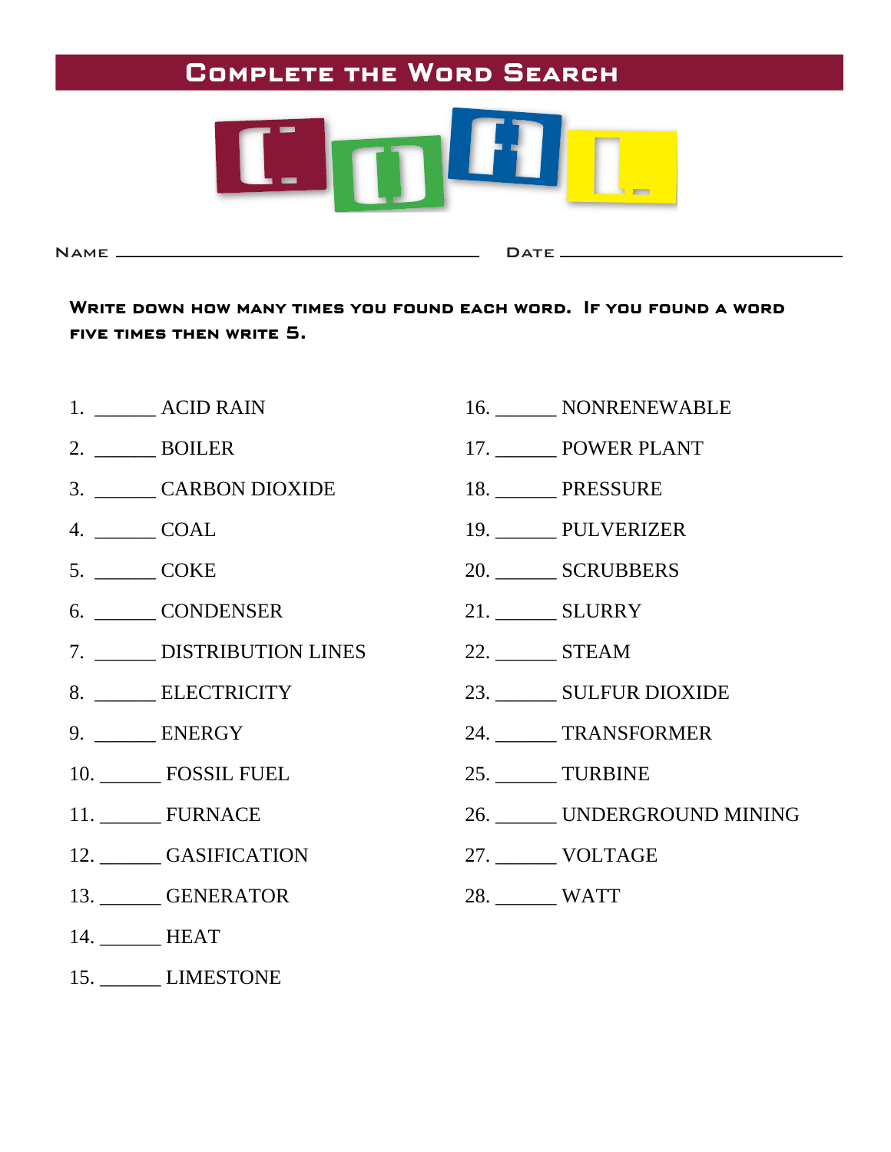# **Complete the Word Search**

**Write down how many times you found each word. If you found a word five times then write 5.**

Name Date

- 1. \_\_\_\_\_\_ ACID RAIN
- 2. \_\_\_\_\_\_ BOILER
- 3. \_\_\_\_\_\_ CARBON DIOXIDE
- 4. \_\_\_\_\_\_ COAL
- 5. \_\_\_\_\_\_ COKE
- 6. \_\_\_\_\_\_ CONDENSER
- 7. \_\_\_\_\_\_ DISTRIBUTION LINES
- 8. \_\_\_\_\_\_ ELECTRICITY
- 9. \_\_\_\_\_\_ ENERGY
- 10. \_\_\_\_\_\_ FOSSIL FUEL
- 11. \_\_\_\_\_\_ FURNACE
- 12. \_\_\_\_\_\_ GASIFICATION
- 13. \_\_\_\_\_\_ GENERATOR
- 14. \_\_\_\_\_\_ HEAT
- 15. \_\_\_\_\_\_ LIMESTONE
- 16. \_\_\_\_\_\_ NONRENEWABLE
- 17. \_\_\_\_\_\_ POWER PLANT
- 18. PRESSURE
- 19. \_\_\_\_\_\_ PULVERIZER
- 20. \_\_\_\_\_\_ SCRUBBERS
	- 21. \_\_\_\_\_\_ SLURRY
	- 22. \_\_\_\_\_\_ STEAM
	- 23. \_\_\_\_\_\_ SULFUR DIOXIDE
	- 24. \_\_\_\_\_\_ TRANSFORMER
	- 25. \_\_\_\_\_\_ TURBINE
	- 26. \_\_\_\_\_\_ UNDERGROUND MINING
	- 27. \_\_\_\_\_\_ VOLTAGE
	- 28. \_\_\_\_\_\_ WATT